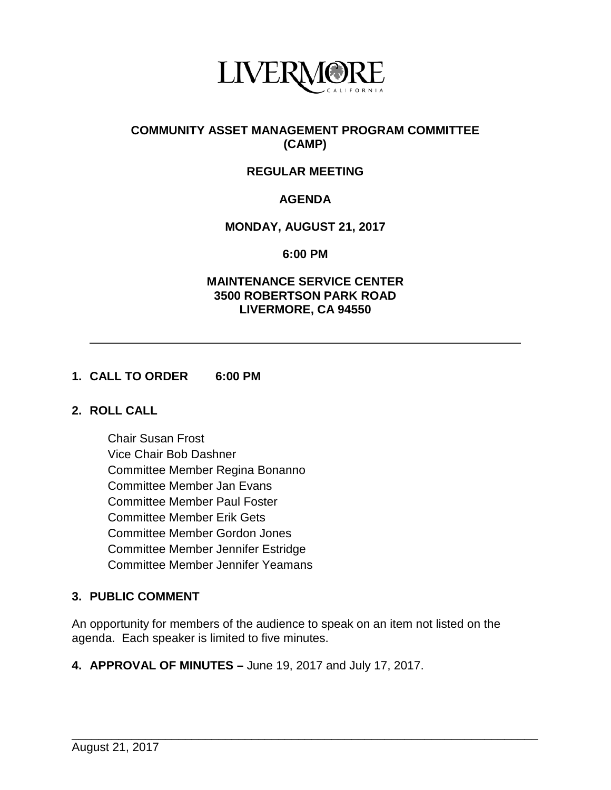

## **COMMUNITY ASSET MANAGEMENT PROGRAM COMMITTEE (CAMP)**

# **REGULAR MEETING**

# **AGENDA**

### **MONDAY, AUGUST 21, 2017**

**6:00 PM**

#### **MAINTENANCE SERVICE CENTER 3500 ROBERTSON PARK ROAD LIVERMORE, CA 94550**

#### **1. CALL TO ORDER 6:00 PM**

#### **2. ROLL CALL**

Chair Susan Frost Vice Chair Bob Dashner Committee Member Regina Bonanno Committee Member Jan Evans Committee Member Paul Foster Committee Member Erik Gets Committee Member Gordon Jones Committee Member Jennifer Estridge Committee Member Jennifer Yeamans

# **3. PUBLIC COMMENT**

An opportunity for members of the audience to speak on an item not listed on the agenda. Each speaker is limited to five minutes.

\_\_\_\_\_\_\_\_\_\_\_\_\_\_\_\_\_\_\_\_\_\_\_\_\_\_\_\_\_\_\_\_\_\_\_\_\_\_\_\_\_\_\_\_\_\_\_\_\_\_\_\_\_\_\_\_\_\_\_\_\_\_\_\_\_\_\_\_\_\_

**4. APPROVAL OF MINUTES –** June 19, 2017 and July 17, 2017.